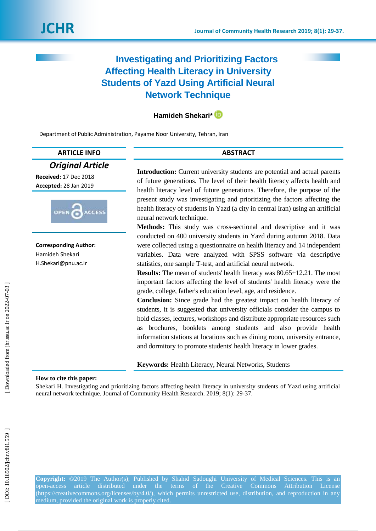# **Investigating and Prioritizing Factors Affecting Health Literacy in University Students of Yazd Using Artificial Neural Network Technique**

# **Hamideh Shekari\***

Department of Public Administration, Payame Noor University, Tehran, Iran

# *Original Article*

**Received:** 17 Dec 2018 **Accepted:** 28 Jan 201 9



**Corresponding Author:** Hamideh Shekari H.Shekari@pnu.ac.ir

**Introduction :** Current university students are potential and actual parents of future generations. The level of their health literacy affects health and health literacy level of future generations. Therefore, the purpose of the present study was investigating and prioritizing the factors affecting the health literacy of students in Yazd (a city in central Iran) using an artificial neural network technique.

**ABSTRACT** 

**Methods:** This study was cross -sectional and descriptive and it was conducted on 400 university students in Yazd during autumn 2018. Data were collected using a questionnaire on health literacy and 14 independent variables. Data were analyzed with SPSS software via descriptive statistics, one sample T -test, and artificial neural network.

**Results:** The mean of students' health literacy was  $80.65 \pm 12.21$ . The most important factors affecting the level of students' health literacy were the grade, college, father's education level, age, and residence.

**Conclusion:** Since grade had the greatest impact on health literacy of students, it is suggested that university officials consider the campus to hold classes, lectures, workshops and distribute appropriate resources such as brochures, booklets among students and also provide health information stations at locations such as dining room, university entrance, and dormitory to promote students' health literacy in lower grades.

**Keywords:** Health Literacy, Neural Network s, Students

# **How to cite this paper:**

Shekari H. Investigating and prioritizing factors affecting health literacy in university students of Yazd using artificial neural network technique. Journal of Community Health Research. 2019; 8(1): 29 -37 .

**Copyright:** ©2019 The Author(s); Published by Shahid Sadoughi University of Medical Sciences. This is an open-access article distributed under the terms of the Creative Commons Attribution License [\(https://creativecommons.org/licenses/by/4.0/\)](https://creativecommons.org/licenses/by/4.0/), which permits unrestricted use, distribution, and reproduction in any medium, provided the original work is properly cited.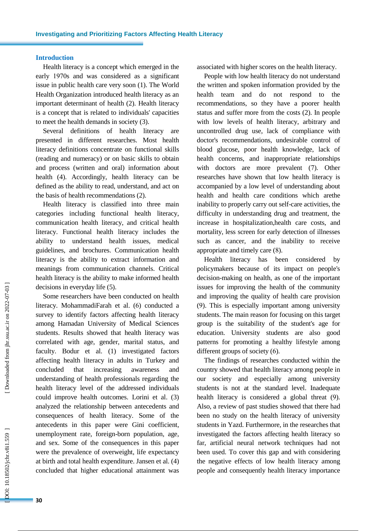# **Introduction**

Health literacy is a concept which emerged in the early 1970s and was considered as a significant issue in public health care very soon ( 1). The World Health Organization introduced health literacy as an important determinant of health ( 2). Health literacy is a concept that is related to individuals' capacities to meet the health demands in society ( 3).

Several definitions of health literacy are presented in different researches. Most health literacy definitions concentrate on functional skills (reading and numeracy) or on basic skills to obtain and process (written and oral) information about health ( 4). Accordingly, health literacy can be defined as the ability to read, understand, and act on the basis of health recommendations ( 2).

Health literacy is classified into three main categories including functional health literacy, communication health literacy , and critical health literacy . Functional health literacy includes the ability to understand health issues, medical guidelines , and brochures. Communication health literacy is the ability to extract information and meanings from communication channels. Critical health literacy is the ability to make informed health decisions in everyday life ( 5).

Some researchers have been conducted on health literacy. MohammadiFarah et al . ( 6) conducted a survey to identify factors affecting health literacy among Hamadan University of Medical Sciences students. Results showed that health literacy was correlated with age, gender, marital status , and faculty. Bodur et al . ( 1 ) investigated factors affecting health literacy in adults in Turkey and concluded that increasing awareness and understanding of health professionals regarding the health literacy level of the addressed individuals could improve health outcomes. Lorini et al. (3) analyzed the relationship between antecedents and consequences of health literacy. Some of the antecedents in this paper were Gini coefficient, unemployment rate, foreign -born population, age , and sex. Some of the consequences in this paper were the prevalence of overweight, life expectancy at birth and total health expenditure. Jansen et al . ( 4 ) concluded that higher educational attainment was

associated with higher scores on the health literacy.

People with low health literacy do not understand the written and spoken information provided by the health team and do not respond to the recommendations, so they have a poorer health status and suffer more from the costs ( 2). In people with low level s of health literacy, arbitrary and uncontrolled drug use, lack of compliance with doctor's recommendations, undesirable control of blood glucose, poor health knowledge, lack of health concerns, and inappropriate relationships with doctors are more prevalent (7). Other researches have shown that low health literacy is accompanied by a low level of understanding about health and health care conditions which arethe inability to properly carry out self-care activities, the difficulty in understanding drug and treatment, the increase in hospitalization , health care costs, and mortality, less screen for early detection of illnesses such as cancer, and the inability to receive appropriate and timely care ( 8).

Health literacy has been considered by policymakers because of its impact on people's decision -making on health, as one of the important issues for improving the health of the community and improving the quality of health care provision (9). This is especially important among university students. The main reason for focusing on this target group is the suitability of the student's age for education. University students are also good patterns for promoting a healthy lifestyle among different groups of society ( 6).

The findings of researches conducted within the country showed that health literacy among people in our society and especially among university students is not at the standard level . Inadequate health literacy is considered a global threat (9). Also , a review of past studies showed that there ha d been no study on the health literacy of university students in Yazd. Furthermore, in the researches that investigated the factors affecting health literacy so far, artificial neural network techniques had not been used. To cover this gap and with considering the negative effects of low health literacy among people and consequently health literacy importance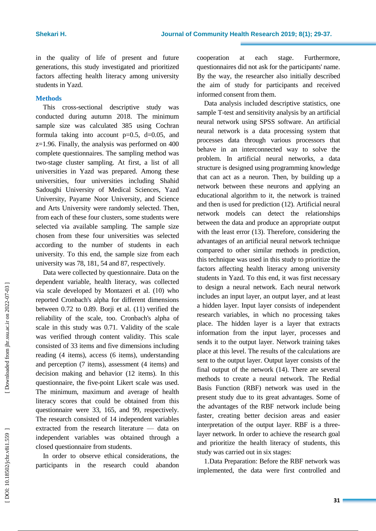in the quality of life of present and future generations , this study investigated and prioritized factors affecting health literacy among university students in Yazd.

# **Methods**

This cross -sectional descriptive study was conducted during autumn 2018. The minimum sample size was calculated 385 using Cochran formula taking into account  $p=0.5$ ,  $d=0.05$ , and z=1.96. Finally, the analysis was performed on 400 complete questionnaires. The sampling method was two -stage cluster sampling. At first, a list of all universities in Yazd was prepared. Among these universities, four universities including Shahid Sadoughi University of Medical Sciences, Yazd University, Payame Noor University , and Science and Arts University were randomly selected. Then, from each of these four cluster s, some students were selected via available sampling. The sample size chosen from these four universities was selected according to the number of students in each university . To this end, the sample size from each university was 78, 181, 54 and 87, respectively.

Data were collected by questionnaire. Data on the dependent variable, health literacy, was collected via scale developed by Montazeri et al. (10) who reported Cronbach's alpha for different dimensions between 0.72 to 0.89. Borji et al. (11) verified the reliability of the scale , too. Cronbach's alpha of scale in this study was 0.71. Validity of the scale was verified through content validity. This scale consisted of 33 items and five dimensions including re ading (4 items), access (6 items), understanding and perception (7 items), assessment (4 items) and decision making and behavior (12 items). In this questionnaire, the five -point Likert scale was used. The minimum, maximum and average of health literacy scores that could be obtained from this questionnaire were 33, 165, and 99, respectively. The research consisted of 14 independent variables extracted from the research literature — data on independent variables was obtained through a closed questionnaire from students.

In order to observe ethical considerations, the participants in the research could abandon cooperation at each stage. Furthermore, questionnaires did not ask for the participants' name. By the way, the researcher also initially described the aim of study for participants and received informed consent from them.

Data analysis included descriptive statistics, one sample T -test and sensitivity analysis by an artificial neural network using SPSS software. An artificial neural network is a data processing system that processes data through various processors that behave in an interconnected way to solve the problem. In artificial neural networks, a data structure is designed using programming knowledge that can act as a neuron. Then, by building up a network between these neurons and applying an educational algorithm to it, the network is trained and then is used for prediction (12). Artificial neural network models can detect the relationships between the data and produce an appropriate output with the least error (13). Therefore, considering the advantages of an artificial neural network technique compared to other similar methods in prediction, this technique was used in this study to prioritize the factors affecting health literacy among university students in Yazd. To this end, it was first necessary to design a neural network. Each neural network includes an input layer, an output layer , and at least a hidden layer. Input layer consists of independent research variables, in which no processing takes place. The hidden layer is a layer that extracts information from the input layer , processes and sends it to the output layer. Network training takes place at this level. The results of the calculations are sent to the output layer. Output layer consists of the final output of the network (14). There are several methods to create a neural network. The Redial Basis Function (RBF) network was used in the present study due to its great advantages. Some of the advantages of the RBF network include being faster, creating better decision areas and easier interpretation of the output layer. RBF is a three layer network. In order to achieve the research goal and prioritize the health literacy of students, this study was carried out in six stages:

1.Data Preparation: Before the RBF network was implemented, the data were first controlled and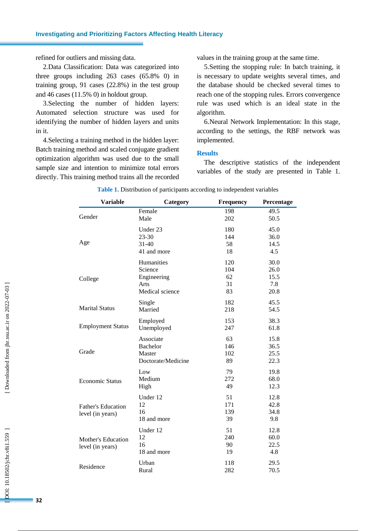refined for outliers and missing data.

2.Data Classification: Data was categorized into three groups including 263 cases (65.8% 0) in training group, 91 cases (22.8%) in the test group and 46 cases (11.5% 0) in holdout group.

3.Selecting the number of hidden layers: Automated selection structure was used for identifying the number of hidden layers and units in it .

4.Selecting a training method in the hidden layer: Batch training method and scaled conjugate gradient optimization algorithm was used due to the small sample size and intention to minimize total errors directly. This training method trains all the recorded values in the training group at the same time.

5.Setting the stopping rule: In batch training , it is necessary to update weights several times , and the database should be checked several times to reach one of the stopping rules. Errors convergence rule was used which is an ideal state in the algorithm.

6.Neural Network Implementation: In this stage, according to the settings, the RBF network was implemented.

## **Results**

The descriptive statistics of the independent variables of the study are presented in Table 1.

| <b>Variable</b>           | Category           | Frequency | Percentage |  |
|---------------------------|--------------------|-----------|------------|--|
|                           | Female             | 198       | 49.5       |  |
| Gender                    | Male               | 202       | 50.5       |  |
|                           | Under 23           | 180       | 45.0       |  |
|                           | $23 - 30$          | 144       | 36.0       |  |
| Age                       | $31-40$            | 58        | 14.5       |  |
|                           | 41 and more        | 18        | 4.5        |  |
|                           | Humanities         | 120       | 30.0       |  |
|                           | Science            | 104       | 26.0       |  |
| College                   | Engineering        | 62        | 15.5       |  |
|                           | Arts               | 31        | 7.8        |  |
|                           | Medical science    | 83        | 20.8       |  |
|                           | Single             | 182       | 45.5       |  |
| <b>Marital Status</b>     | Married            | 218       | 54.5       |  |
|                           | Employed           | 153       | 38.3       |  |
| <b>Employment Status</b>  | Unemployed         | 247       | 61.8       |  |
|                           | Associate          | 63        | 15.8       |  |
|                           | <b>Bachelor</b>    | 146       | 36.5       |  |
| Grade                     | Master             | 102       | 25.5       |  |
|                           | Doctorate/Medicine | 89        | 22.3       |  |
|                           | Low                | 79        | 19.8       |  |
| <b>Economic Status</b>    | Medium             | 272       | 68.0       |  |
|                           | High               | 49        | 12.3       |  |
|                           | Under 12           | 51        | 12.8       |  |
| <b>Father's Education</b> | 12                 | 171       | 42.8       |  |
| level (in years)          | 16                 | 139       | 34.8       |  |
|                           | 18 and more        | 39        | 9.8        |  |
|                           | Under 12           | 51        | 12.8       |  |
| Mother's Education        | 12                 | 240       | 60.0       |  |
| level (in years)          | 16                 | 90        | 22.5       |  |
|                           | 18 and more        | 19        | 4.8        |  |
| Residence                 | Urban              | 118       | 29.5       |  |
|                           | Rural              | 282       | 70.5       |  |

**Table 1 .** Distribution of participants according to independent variables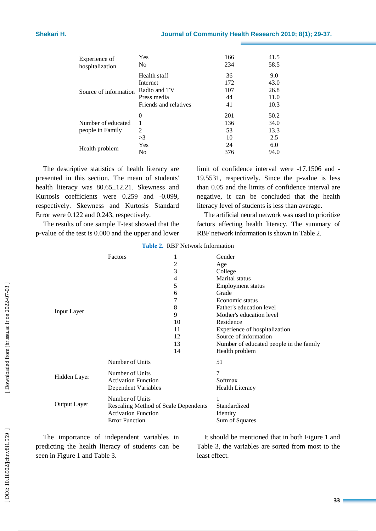| Experience of                          | Yes                   | 166                    | 41.5                        |
|----------------------------------------|-----------------------|------------------------|-----------------------------|
| hospitalization                        | No                    | 234                    | 58.5                        |
| Source of information                  | Health staff          | 36                     | 9.0                         |
|                                        | Internet              | 172                    | 43.0                        |
|                                        | Radio and TV          | 107                    | 26.8                        |
|                                        | Press media           | 44                     | 11.0                        |
|                                        | Friends and relatives | 41                     | 10.3                        |
| Number of educated<br>people in Family | $\Omega$<br>2<br>>3   | 201<br>136<br>53<br>10 | 50.2<br>34.0<br>13.3<br>2.5 |
| Health problem                         | Yes                   | 24                     | 6.0                         |
|                                        | No                    | 376                    | 94.0                        |

The descriptive statistics of health literacy are presented in this section . The mean of students' health literacy was 80.65±12.21. Skewness and Kurtosis coefficients were 0.259 and -0.099, respectively. Skewness and Kurtosis Standard Error were 0.122 and 0.243 , respectively.

The results of one sample T-test showed that the p -value of the test is 0.000 and the upper and lower

limit of confidence interval were -17.1506 and - 19.5531 , respectively. Since the p -value is less than 0.05 and the limit s of confidence interval are negative, it can be concluded that the health literacy level of students is less than average.

The artificial neural network was used to prioritize factors affecting health literacy. The summary of RBF network information is shown in Table 2 .

| Input Layer  | Factors<br>1<br>2<br>3<br>4<br>5<br>6<br>7<br>8<br>9<br>10<br>11<br>12<br>13<br>14<br>Number of Units          |  | Gender<br>Age<br>College<br>Marital status<br>Employment status<br>Grade<br>Economic status<br>Father's education level<br>Mother's education level<br>Residence<br>Experience of hospitalization<br>Source of information<br>Number of educated people in the family<br>Health problem |  |
|--------------|----------------------------------------------------------------------------------------------------------------|--|-----------------------------------------------------------------------------------------------------------------------------------------------------------------------------------------------------------------------------------------------------------------------------------------|--|
| Hidden Layer | Number of Units<br><b>Activation Function</b><br><b>Dependent Variables</b>                                    |  | 51<br>7<br>Softmax<br><b>Health Literacy</b>                                                                                                                                                                                                                                            |  |
| Output Layer | Number of Units<br>Rescaling Method of Scale Dependents<br><b>Activation Function</b><br><b>Error Function</b> |  | 1<br>Standardized<br>Identity<br>Sum of Squares                                                                                                                                                                                                                                         |  |

**Table 2 .** RBF Network Information

The importance of independent variables in predicting the health literacy of students can be seen in Figure 1 and Table 3 .

It should be mentioned that in both Figure 1 and Table 3, the variables are sorted from most to the least effect.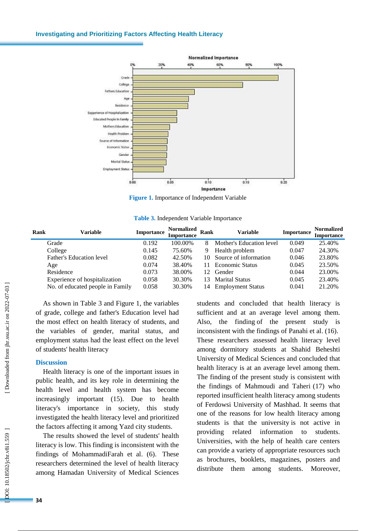#### **Investigating and Prioritizing Factors Affecting Health Literacy**



**Figure 1.** Importance of Independent Variable

|  |  | Table 3. Independent Variable Importance |  |  |
|--|--|------------------------------------------|--|--|
|--|--|------------------------------------------|--|--|

| Rank | Variable                         | <b>Importance</b> | <b>Normalized</b><br>Importance | Rank            | <b>Variable</b>          | Importance | <b>Normalized</b><br>Importance |
|------|----------------------------------|-------------------|---------------------------------|-----------------|--------------------------|------------|---------------------------------|
|      | Grade                            | 0.192             | 100.00%                         |                 | Mother's Education level | 0.049      | 25.40%                          |
|      | College                          | 0.145             | 75.60%                          | 9               | Health problem           | 0.047      | 24.30%                          |
|      | Father's Education level         | 0.082             | 42.50%                          | 10.             | Source of information    | 0.046      | 23.80%                          |
|      | Age                              | 0.074             | 38.40%                          |                 | Economic Status          | 0.045      | 23.50%                          |
|      | Residence                        | 0.073             | 38.00%                          | 12 <sub>1</sub> | Gender                   | 0.044      | 23.00%                          |
|      | Experience of hospitalization    | 0.058             | 30.30%                          | 13.             | <b>Marital Status</b>    | 0.045      | 23.40%                          |
|      | No. of educated people in Family | 0.058             | 30.30%                          | 14              | <b>Employment Status</b> | 0.041      | 21.20%                          |

As shown in Table 3 and Figure 1, the variables of grade, college and father's Education level had the most effect on health literacy of students, and the variables of gender, marital status , and employment status had the least effect on the level of students' health literacy

#### **Discussion**

Health literacy is one of the important issues in public health , and its key role in determining the health level and health system has become increasingly important (15). Due to health literacy's importance in society, this study investigated the health literacy level and prioritized the factors affecting it among Yazd city students .

The results showed the level of students' health literacy is low. This finding is inconsistent with the findings of MohammadiFarah et al . ( 6). These researchers determined the level of health literacy among Hamadan University of Medical Sciences

students and concluded that health literacy is sufficient and at an average level among them. Also, the finding of the present study is inconsistent with the findings of Panahi et al . (16). These researchers assessed health literacy level among dormitory students at Shahid Beheshti University of Medical Sciences and concluded that health literacy is at an average level among them. The finding of the present study is consistent with the findings of Mahmoudi and Taheri (17) who reported insufficient health literacy among students of Ferdowsi University of Mashhad. It seems that one of the reasons for low health literacy among students is that the university is not active in providing related information to students. Universities, with the help of health care centers can provide a variety of appropriate resources such as brochures, booklets, magazines, posters and distribute them among students. Moreover,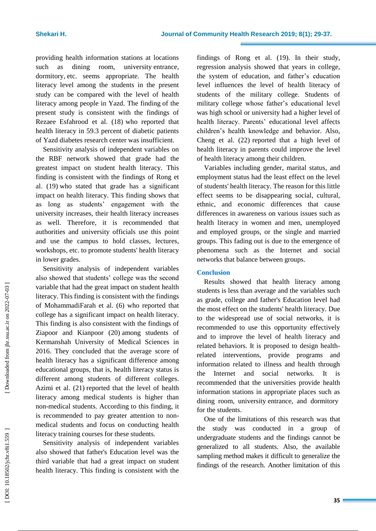providing health information stations at locations such as dining room, university entrance, dormitory , etc. seems appropriate. The health literacy level among the students in the present study can be compared with the level of health literacy among people in Yazd. The finding of the present study is consistent with the findings of Rezaee Esfahrood et al . (18 ) who reported that health literacy in 59.3 percent of diabetic patients of Yazd diabetes research center was insufficient.

Sensitivity analysis of independent variables on the RBF network showed that grade had the greatest impact on student health literacy. This finding is consistent with the findings of Rong et al . ( 1 9 ) who stated that grade has a significant impact on health literacy. This finding shows that as long as students' engagement with the university increases, their health literacy increases as well. Therefore, it is recommended that authorities and university officials use this point and use the campus to hold classes, lectures, workshops , etc. to promote students' health literacy in lower grades .

Sensitivity analysis of independent variables also showed that students' college was the second variable that had the great impact on student health literacy. This finding is consistent with the findings of MohammadiFarah et al . ( 6) who reported that college has a significant impact on health literacy. This finding is also consistent with the findings of Ziapoor and Kianpoor ( 2 0 ) among students of Kermanshah University of Medical Sciences in 2016. They concluded that the average score of health literacy has a significant difference among educational groups, that is, health literacy status is different among students of different colleges. Azimi et al . ( 2 1 ) reported that the level of health literacy among medical students is higher than non -medical students. According to this finding, it is recommended t o pay greater attention to non medical students and focus on conducting health literacy training courses for these students.

Sensitivity analysis of independent variables also showed that father's Education level was the third variable that had a great impact on student health literacy. This finding is consistent with the

findings of Rong et al. (19). In their study, regression analysis showed that years in college, the system of education, and father's education level influences the level of health literacy of students of the military college. Students of military college whose father's educational level was high school or university had a higher level of health literacy. Parents' educational level affects children's health knowledge and behavior. Also, Cheng et al . (22 ) reported that a high level of health literacy in parents could improve the level

of health literacy among their children. Variables including gender, marital status , and employment status had the least effect on the level of students' health literacy . The reason for this little effect seems to be disappearing social, cultural, ethnic, and economic differences that cause differences in awareness on various issues such as health literacy in women and men, unemployed and employed groups, or the single and married groups. This fading out is due to the emergence of phenomena such as the Internet and social networks that balance between groups.

#### **Conclusion**

Results showed that health literacy among students is less than average and the variables such as grade, college and father's Education level had the most effect on the students' health literacy . Due to the widespread use of social networks, it is recommended to use this opportunity effectively and to improve the level of health literacy and related behaviors. It is proposed to design health related interventions, provide programs and information related to illness and health through the Internet and social networks. It is recommended that the universities provide health information stations in appropriate places such as dining room, university entrance , and dormitory for the students.

One of the limitation s of this research was that the study was conducted in a group of undergraduate students and the findings cannot be generalized to all students. Also, the available sampling method makes it difficult to generalize the findings of the research. Another limitation of this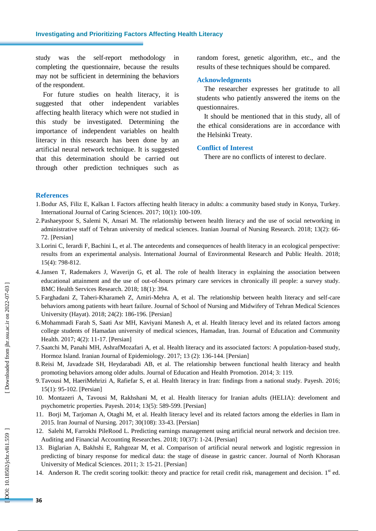study was the self-report methodology in completing the questionnaire, because the results may not be sufficient in determining the behaviors of the respondent.

For future studies on health literacy, it is suggested that other independent variables affecting health literacy which were not studied in this study be investigated. Determining the importance of independent variables on health literacy in this research has been done by an artificial neural network technique. It is suggested that this determination should be carried out through other prediction techniques such as

random forest, genetic algorithm, etc., and the results of these techniques should be compared.

# **Acknowledgments**

The researcher expresses her gratitude to all students who patiently answered the items on the questionnaires.

It should be mentioned that in this study, all of the ethical considerations are in accordance with the Helsinki Treaty.

#### **Conflict of Interest**

There are no conflicts of interest to declare .

#### **References**

- 1.Bodur AS, Filiz E, Kalkan I. Factors affecting health literacy in adults: a community based study in Konya, Turkey. International Journal of Caring Sciences . 2017; 10(1): 100 -109.
- 2.Pashaeypoor S, Salemi N, Ansari M. The relationship between health literacy and the use of social networking in administrative staff of Tehran university of medical sciences. Iranian Journal of Nursing Research. 2018; 13(2): 66-72. [Persian]
- 3.Lorini C, Ierardi F, Bachini L, et al. The antecedents and consequences of health literacy in an ecological perspective: results from an experimental analysis. International Journal of Environmental Research and Public Health . 2018; 15( 4): 798 -812 .
- 4[.Jansen](https://www.ncbi.nlm.nih.gov/pubmed/?term=Jansen%20T%5BAuthor%5D&cauthor=true&cauthor_uid=29855365) T, [Rademakers](https://www.ncbi.nlm.nih.gov/pubmed/?term=Rademakers%20J%5BAuthor%5D&cauthor=true&cauthor_uid=29855365) J, [Waverijn](https://www.ncbi.nlm.nih.gov/pubmed/?term=Waverijn%20G%5BAuthor%5D&cauthor=true&cauthor_uid=29855365) G, et al. The role of health literacy in explaining the association between educational attainment and the use of out -of-hours primary care services in chronically ill people: a survey study. [BMC Health Services Rese](https://www.ncbi.nlm.nih.gov/pmc/articles/PMC5984471/)arch . 2018; 18( 1): 394.
- 5.Farghadani Z, Taheri -Kharameh Z, Amiri -Mehra A, et al. The relationship between health literacy and self -care behaviors among patients with heart failure. Journal of School of Nursing and Midwifery of Tehran Medical Sciences University (Hayat) . 2018; 24(2): 186 -196. [Persian]
- 6.Mohammadi Farah S, Saati Asr MH, Kaviyani Manesh A, et al. Health literacy level and its related factors among college students of Hamadan university of medical sciences, Hamadan, Iran. Journal of Education and Community Health. 2017; 4(2): 11-17. [Persian]
- 7.Saatchi M, Panahi MH, AshrafMozafari A, et al. Health literacy and its associated factors: A population -based study, Hormoz Island. Iranian Journal of Epidemiology . 2017; 13 (2): 136 -144. [Persian]
- 8.Reisi M, Javadzade SH, Heydarabadi AB, et al. The relationship between functional health literacy and health promoting behaviors among older adults. Journal of Education and Health Promotion . 2014; 3: 119.
- 9.Tavousi M, HaeriMehrizi A, Rafiefar S, et al. Health literacy in Iran: findings from a national study. Payesh . 2016; 15(1): 95 -102. [Persian ]
- 10. Montazeri A, Tavousi M, Rakhshani M, et al. Health literacy for Iranian adults (HELIA): develoment and psychometric properties. Payesh . 2014; 13(5): 589 -599. [Persian]
- 11. Borji M, Tarjoman A, Otaghi M, et al. Health literacy level and its related factors among the elderlies in Ilam in 2015. Iran Journal of Nursing. 2017; 30(108): 33 -43. [Persian]
- 12. Salehi M, Farrokhi PileRood L. Predicting earnings management using artificial neural network and decision tree. Auditing and Financial Accounting Researches . 2018; 10(37): 1 -24. [Persian]
- 13. Biglarian A, Bakhshi E, Rahgozar M, et al. Comparison of artificial neural network and logistic regression in predicting of binary response for medical data: the stage of disease in gastric cancer. Journal of North Khorasan University of Medical Sciences. 2011; 3: 15-21. [Persian]
- 14. Anderson R. The credit scoring toolkit: theory and practice for retail credit risk, management and decision. 1st ed.